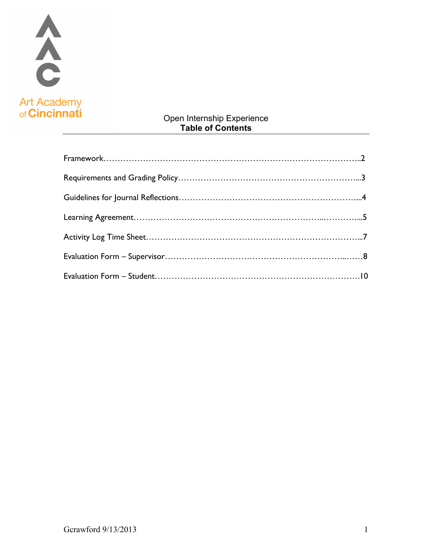

## Open Internship Experience **Table of Contents**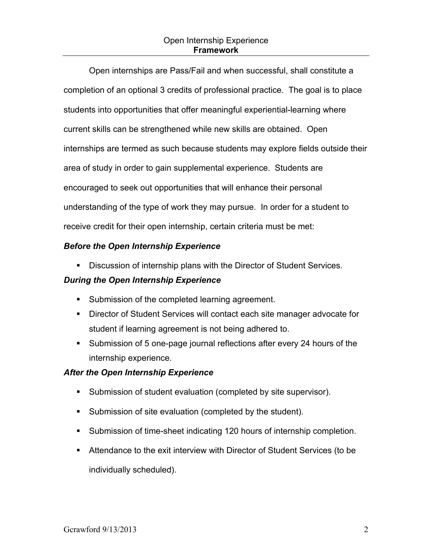Open internships are Pass/Fail and when successful, shall constitute a completion of an optional 3 credits of professional practice. The goal is to place students into opportunities that offer meaningful experiential-learning where current skills can be strengthened while new skills are obtained. Open internships are termed as such because students may explore fields outside their area of study in order to gain supplemental experience. Students are encouraged to seek out opportunities that will enhance their personal understanding of the type of work they may pursue. In order for a student to receive credit for their open internship, certain criteria must be met:

### *Before the Open Internship Experience*

**.** Discussion of internship plans with the Director of Student Services.

#### *During the Open Internship Experience*

- **EXECT** Submission of the completed learning agreement.
- ! Director of Student Services will contact each site manager advocate for student if learning agreement is not being adhered to.
- ! Submission of 5 one-page journal reflections after every 24 hours of the internship experience.

## *After the Open Internship Experience*

- **EXECT** Submission of student evaluation (completed by site supervisor).
- ! Submission of site evaluation (completed by the student).
- ! Submission of time-sheet indicating 120 hours of internship completion.
- ! Attendance to the exit interview with Director of Student Services (to be individually scheduled).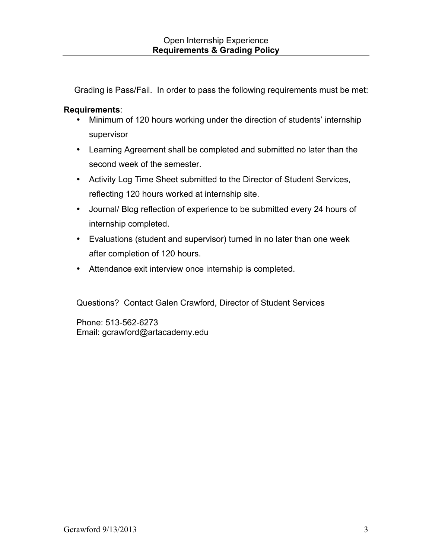Grading is Pass/Fail. In order to pass the following requirements must be met:

## **Requirements**:

- Minimum of 120 hours working under the direction of students' internship supervisor
- Learning Agreement shall be completed and submitted no later than the second week of the semester.
- Activity Log Time Sheet submitted to the Director of Student Services, reflecting 120 hours worked at internship site.
- Journal/ Blog reflection of experience to be submitted every 24 hours of internship completed.
- Evaluations (student and supervisor) turned in no later than one week after completion of 120 hours.
- Attendance exit interview once internship is completed.

Questions? Contact Galen Crawford, Director of Student Services

Phone: 513-562-6273 Email: gcrawford@artacademy.edu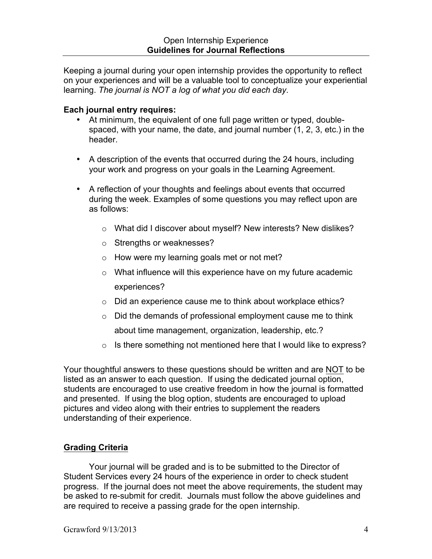Keeping a journal during your open internship provides the opportunity to reflect on your experiences and will be a valuable tool to conceptualize your experiential learning. *The journal is NOT a log of what you did each day*.

### **Each journal entry requires:**

- At minimum, the equivalent of one full page written or typed, doublespaced, with your name, the date, and journal number (1, 2, 3, etc.) in the header.
- A description of the events that occurred during the 24 hours, including your work and progress on your goals in the Learning Agreement.
- A reflection of your thoughts and feelings about events that occurred during the week. Examples of some questions you may reflect upon are as follows:
	- o What did I discover about myself? New interests? New dislikes?
	- o Strengths or weaknesses?
	- o How were my learning goals met or not met?
	- $\circ$  What influence will this experience have on my future academic experiences?
	- o Did an experience cause me to think about workplace ethics?
	- $\circ$  Did the demands of professional employment cause me to think about time management, organization, leadership, etc.?
	- o Is there something not mentioned here that I would like to express?

Your thoughtful answers to these questions should be written and are NOT to be listed as an answer to each question. If using the dedicated journal option, students are encouraged to use creative freedom in how the journal is formatted and presented. If using the blog option, students are encouraged to upload pictures and video along with their entries to supplement the readers understanding of their experience.

## **Grading Criteria**

Your journal will be graded and is to be submitted to the Director of Student Services every 24 hours of the experience in order to check student progress. If the journal does not meet the above requirements, the student may be asked to re-submit for credit. Journals must follow the above guidelines and are required to receive a passing grade for the open internship.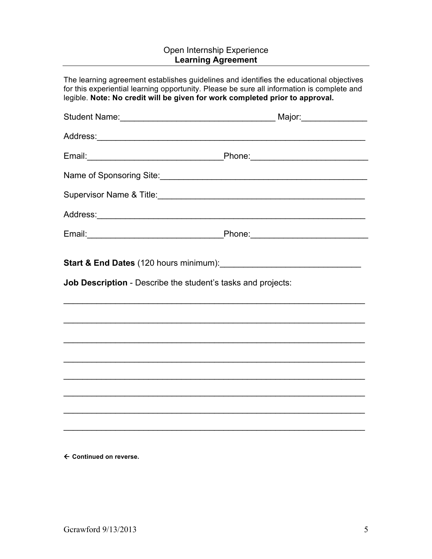# Open Internship Experience **Learning Agreement**

|                                                                     | The learning agreement establishes guidelines and identifies the educational objectives<br>for this experiential learning opportunity. Please be sure all information is complete and<br>legible. Note: No credit will be given for work completed prior to approval. |
|---------------------------------------------------------------------|-----------------------------------------------------------------------------------------------------------------------------------------------------------------------------------------------------------------------------------------------------------------------|
|                                                                     |                                                                                                                                                                                                                                                                       |
|                                                                     |                                                                                                                                                                                                                                                                       |
|                                                                     |                                                                                                                                                                                                                                                                       |
|                                                                     |                                                                                                                                                                                                                                                                       |
|                                                                     |                                                                                                                                                                                                                                                                       |
|                                                                     |                                                                                                                                                                                                                                                                       |
|                                                                     |                                                                                                                                                                                                                                                                       |
|                                                                     |                                                                                                                                                                                                                                                                       |
| <b>Job Description</b> - Describe the student's tasks and projects: |                                                                                                                                                                                                                                                                       |
|                                                                     |                                                                                                                                                                                                                                                                       |
|                                                                     |                                                                                                                                                                                                                                                                       |
|                                                                     |                                                                                                                                                                                                                                                                       |
|                                                                     |                                                                                                                                                                                                                                                                       |
|                                                                     |                                                                                                                                                                                                                                                                       |
|                                                                     |                                                                                                                                                                                                                                                                       |
|                                                                     |                                                                                                                                                                                                                                                                       |
|                                                                     |                                                                                                                                                                                                                                                                       |

← Continued on reverse.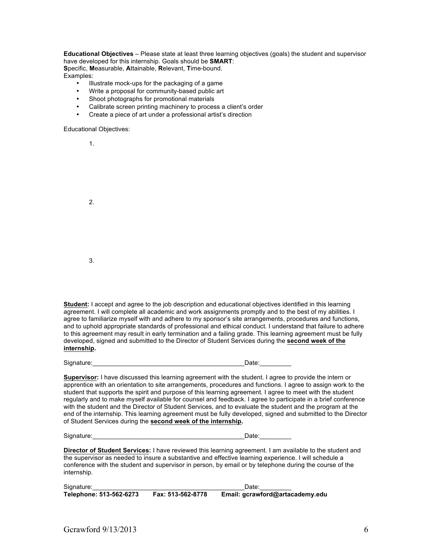**Educational Objectives** – Please state at least three learning objectives (goals) the student and supervisor have developed for this internship. Goals should be **SMART**: **S**pecific, **M**easurable, **A**ttainable, **R**elevant, **T**ime-bound.

Examples:

- Illustrate mock-ups for the packaging of a game
- Write a proposal for community-based public art
- Shoot photographs for promotional materials
- Calibrate screen printing machinery to process a client's order
- Create a piece of art under a professional artist's direction

Educational Objectives:

1.

| ι. |  |  |  |
|----|--|--|--|
| 2. |  |  |  |
| 3. |  |  |  |

**Student:** I accept and agree to the job description and educational objectives identified in this learning agreement. I will complete all academic and work assignments promptly and to the best of my abilities. I agree to familiarize myself with and adhere to my sponsor's site arrangements, procedures and functions, and to uphold appropriate standards of professional and ethical conduct. I understand that failure to adhere to this agreement may result in early termination and a failing grade. This learning agreement must be fully developed, signed and submitted to the Director of Student Services during the **second week of the internship.** 

Signature:\_\_\_\_\_\_\_\_\_\_\_\_\_\_\_\_\_\_\_\_\_\_\_\_\_\_\_\_\_\_\_\_\_\_\_\_\_\_\_\_\_\_\_Date:\_\_\_\_\_\_\_\_\_

**Supervisor:** I have discussed this learning agreement with the student. I agree to provide the intern or apprentice with an orientation to site arrangements, procedures and functions. I agree to assign work to the student that supports the spirit and purpose of this learning agreement. I agree to meet with the student regularly and to make myself available for counsel and feedback. I agree to participate in a brief conference with the student and the Director of Student Services, and to evaluate the student and the program at the end of the internship. This learning agreement must be fully developed, signed and submitted to the Director of Student Services during the **second week of the internship.**

Signature:\_\_\_\_\_\_\_\_\_\_\_\_\_\_\_\_\_\_\_\_\_\_\_\_\_\_\_\_\_\_\_\_\_\_\_\_\_\_\_\_\_\_\_Date:\_\_\_\_\_\_\_\_\_

**Director of Student Services:** I have reviewed this learning agreement. I am available to the student and the supervisor as needed to insure a substantive and effective learning experience. I will schedule a conference with the student and supervisor in person, by email or by telephone during the course of the internship.

| Signature:              |                   | Date:                           |
|-------------------------|-------------------|---------------------------------|
| Telephone: 513-562-6273 | Fax: 513-562-8778 | Email: gcrawford@artacademy.edu |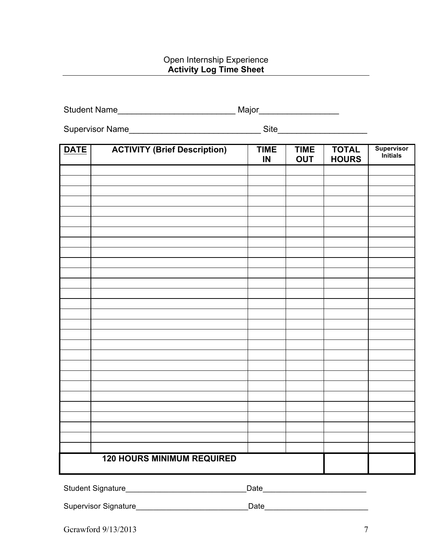#### Open Internship Experience **Activity Log Time Sheet**

|             | Student Name                        | Major_____________________ |                           |                              |                                      |
|-------------|-------------------------------------|----------------------------|---------------------------|------------------------------|--------------------------------------|
|             |                                     |                            |                           |                              |                                      |
| <b>DATE</b> | <b>ACTIVITY (Brief Description)</b> | <b>TIME</b><br>IN          | <b>TIME</b><br><b>OUT</b> | <b>TOTAL</b><br><b>HOURS</b> | <b>Supervisor</b><br><i>initials</i> |
|             |                                     |                            |                           |                              |                                      |
|             |                                     |                            |                           |                              |                                      |
|             |                                     |                            |                           |                              |                                      |
|             |                                     |                            |                           |                              |                                      |
|             |                                     |                            |                           |                              |                                      |
|             |                                     |                            |                           |                              |                                      |
|             |                                     |                            |                           |                              |                                      |
|             |                                     |                            |                           |                              |                                      |
|             |                                     |                            |                           |                              |                                      |
|             |                                     |                            |                           |                              |                                      |
|             |                                     |                            |                           |                              |                                      |
|             |                                     |                            |                           |                              |                                      |
|             |                                     |                            |                           |                              |                                      |
|             |                                     |                            |                           |                              |                                      |
|             |                                     |                            |                           |                              |                                      |
|             | <b>120 HOURS MINIMUM REQUIRED</b>   |                            |                           |                              |                                      |

Student Signature\_\_\_\_\_\_\_\_\_\_\_\_\_\_\_\_\_\_\_\_\_\_\_\_\_\_\_\_Date\_\_\_\_\_\_\_\_\_\_\_\_\_\_\_\_\_\_\_\_\_\_\_\_

Supervisor Signature\_\_\_\_\_\_\_\_\_\_\_\_\_\_\_\_\_\_\_\_\_\_\_\_\_\_Date\_\_\_\_\_\_\_\_\_\_\_\_\_\_\_\_\_\_\_\_\_\_\_\_

Gcrawford 9/13/2013 7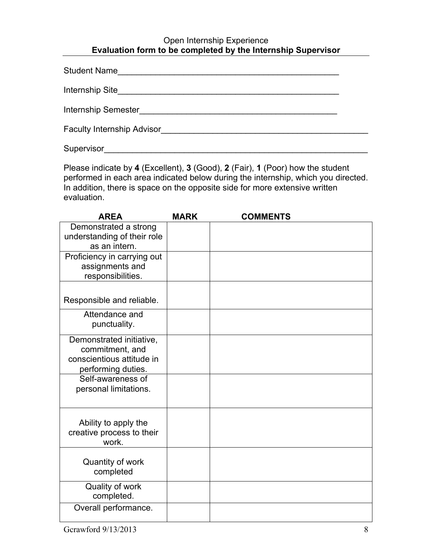### Open Internship Experience **Evaluation form to be completed by the Internship Supervisor**

Supervisor et al. 2008. The set of the set of the set of the set of the set of the set of the set of the set of the set of the set of the set of the set of the set of the set of the set of the set of the set of the set of

Please indicate by **4** (Excellent), **3** (Good), **2** (Fair), **1** (Poor) how the student performed in each area indicated below during the internship, which you directed. In addition, there is space on the opposite side for more extensive written evaluation.

| <b>AREA</b>                        | <b>MARK</b> | <b>COMMENTS</b> |
|------------------------------------|-------------|-----------------|
| Demonstrated a strong              |             |                 |
| understanding of their role        |             |                 |
| as an intern.                      |             |                 |
| Proficiency in carrying out        |             |                 |
| assignments and                    |             |                 |
| responsibilities.                  |             |                 |
|                                    |             |                 |
| Responsible and reliable.          |             |                 |
| Attendance and                     |             |                 |
| punctuality.                       |             |                 |
| Demonstrated initiative,           |             |                 |
| commitment, and                    |             |                 |
| conscientious attitude in          |             |                 |
| performing duties.                 |             |                 |
| Self-awareness of                  |             |                 |
| personal limitations.              |             |                 |
|                                    |             |                 |
|                                    |             |                 |
| Ability to apply the               |             |                 |
| creative process to their<br>work. |             |                 |
|                                    |             |                 |
| Quantity of work                   |             |                 |
| completed                          |             |                 |
|                                    |             |                 |
| Quality of work                    |             |                 |
| completed.                         |             |                 |
| Overall performance.               |             |                 |
|                                    |             |                 |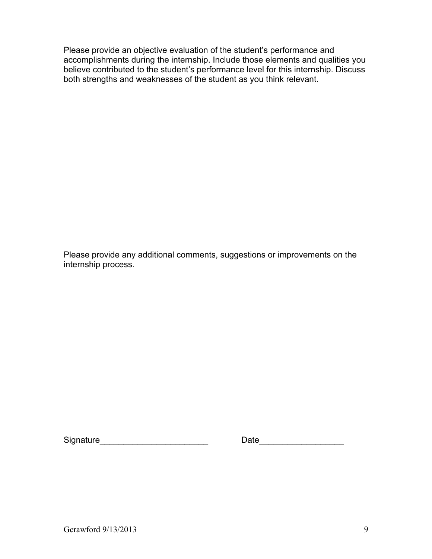Please provide an objective evaluation of the student's performance and accomplishments during the internship. Include those elements and qualities you believe contributed to the student's performance level for this internship. Discuss both strengths and weaknesses of the student as you think relevant.

Please provide any additional comments, suggestions or improvements on the internship process.

| Signature |  |
|-----------|--|
|           |  |

Signature\_\_\_\_\_\_\_\_\_\_\_\_\_\_\_\_\_\_\_\_\_\_\_ Date\_\_\_\_\_\_\_\_\_\_\_\_\_\_\_\_\_\_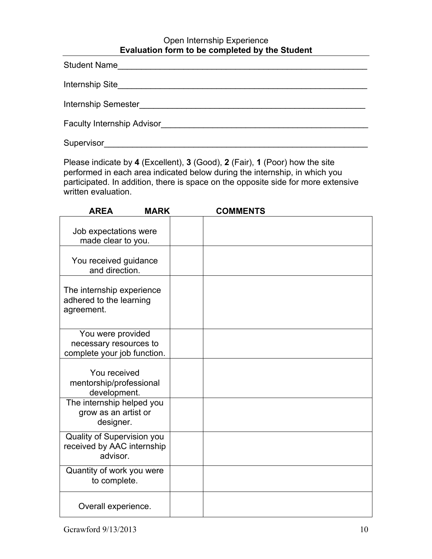#### Open Internship Experience **Evaluation form to be completed by the Student**

| Student Name                      |
|-----------------------------------|
| Internship Site                   |
| Internship Semester               |
| <b>Faculty Internship Advisor</b> |
| Supervisor                        |

Please indicate by **4** (Excellent), **3** (Good), **2** (Fair), **1** (Poor) how the site performed in each area indicated below during the internship, in which you participated. In addition, there is space on the opposite side for more extensive written evaluation.

| <b>AREA</b><br><b>MARK</b>                                                 | <b>COMMENTS</b> |
|----------------------------------------------------------------------------|-----------------|
| Job expectations were<br>made clear to you.                                |                 |
| You received guidance<br>and direction.                                    |                 |
| The internship experience<br>adhered to the learning<br>agreement.         |                 |
| You were provided<br>necessary resources to<br>complete your job function. |                 |
| You received<br>mentorship/professional<br>development.                    |                 |
| The internship helped you<br>grow as an artist or<br>designer.             |                 |
| Quality of Supervision you<br>received by AAC internship<br>advisor.       |                 |
| Quantity of work you were<br>to complete.                                  |                 |
| Overall experience.                                                        |                 |